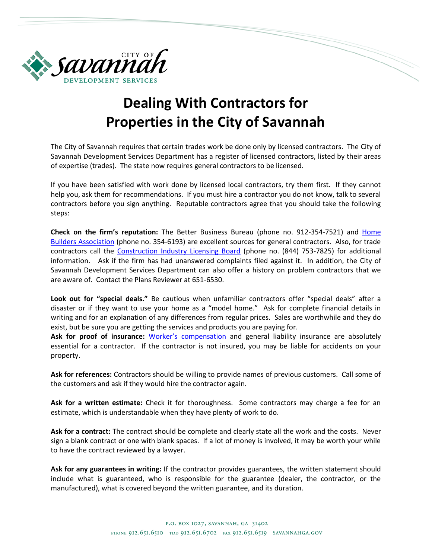

## **Dealing With Contractors for Properties in the City of Savannah**

The City of Savannah requires that certain trades work be done only by licensed contractors. The City of Savannah Development Services Department has a register of licensed contractors, listed by their areas of expertise (trades). The state now requires general contractors to be licensed.

If you have been satisfied with work done by licensed local contractors, try them first. If they cannot help you, ask them for recommendations. If you must hire a contractor you do not know, talk to several contractors before you sign anything. Reputable contractors agree that you should take the following steps:

**Check on the firm's reputation:** The Better Business Bureau (phone no. 912-354-7521) and [Home](http://homebuildersofsavannah.com/)  [Builders Association](http://homebuildersofsavannah.com/) (phone no. 354-6193) are excellent sources for general contractors. Also, for trade contractors call the [Construction Industry Licensing Board](http://sos.ga.gov/index.php/licensing) (phone no. (844) 753-7825) for additional information. Ask if the firm has had unanswered complaints filed against it. In addition, the City of Savannah Development Services Department can also offer a history on problem contractors that we are aware of. Contact the Plans Reviewer at 651-6530.

**Look out for "special deals."** Be cautious when unfamiliar contractors offer "special deals" after a disaster or if they want to use your home as a "model home." Ask for complete financial details in writing and for an explanation of any differences from regular prices. Sales are worthwhile and they do exist, but be sure you are getting the services and products you are paying for.

**Ask for proof of insurance:** [Worker's compensation](https://sbwc.georgia.gov/online-employers-workers-compensation-coverage-verification) and general liability insurance are absolutely essential for a contractor. If the contractor is not insured, you may be liable for accidents on your property.

**Ask for references:** Contractors should be willing to provide names of previous customers. Call some of the customers and ask if they would hire the contractor again.

**Ask for a written estimate:** Check it for thoroughness. Some contractors may charge a fee for an estimate, which is understandable when they have plenty of work to do.

**Ask for a contract:** The contract should be complete and clearly state all the work and the costs. Never sign a blank contract or one with blank spaces. If a lot of money is involved, it may be worth your while to have the contract reviewed by a lawyer.

**Ask for any guarantees in writing:** If the contractor provides guarantees, the written statement should include what is guaranteed, who is responsible for the guarantee (dealer, the contractor, or the manufactured), what is covered beyond the written guarantee, and its duration.